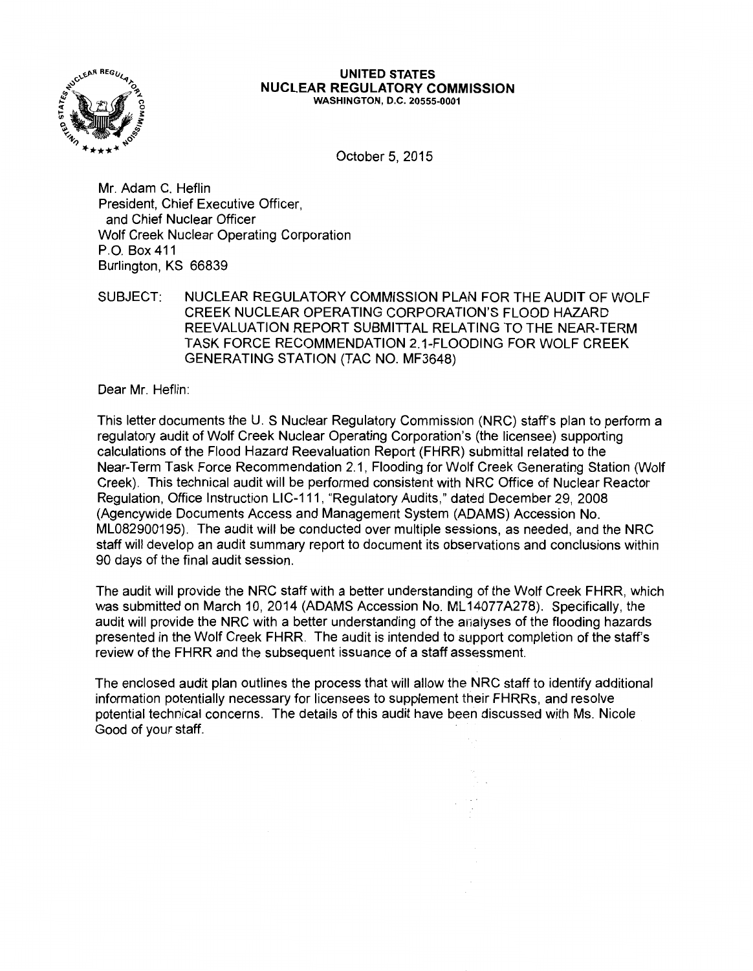

#### **UNITED STATES NUCLEAR REGULATORY COMMISSION**  WASHINGTON, D.C. 20555-0001

October 5, 2015

Mr. Adam C. Heflin President, Chief Executive Officer, and Chief Nuclear Officer Wolf Creek Nuclear Operating Corporation P.O. Box 411 Burlington, KS 66839

SUBJECT: NUCLEAR REGULATORY COMMISSION PLAN FOR THE AUDIT OF WOLF CREEK NUCLEAR OPERATING CORPORATION'S FLOOD HAZARD REEVALUATION REPORT SUBMITTAL RELATING TO THE NEAR-TERM TASK FORCE RECOMMENDATION 2.1-FLOODING FOR WOLF CREEK GENERATING STATION (TAC NO. MF3648)

Dear Mr. Heflin:

This letter documents the U. S Nuclear Regulatory Commission (NRC) staff's plan to perform a regulatory audit of Wolf Creek Nuclear Operating Corporation's (the licensee) supporting calculations of the Flood Hazard Reevaluation Report (FHRR) submittal related to the Near-Term Task Force Recommendation 2.1, Flooding for Wolf Creek Generating Station (Wolf Creek). This technical audit will be performed consistent with NRC Office of Nuclear Reactor Regulation, Office Instruction LIC-111, "Regulatory Audits," dated December 29, 2008 (Agencywide Documents Access and Management System (ADAMS) Accession No. ML082900195). The audit will be conducted over multiple sessions, as needed, and the NRC staff will develop an audit summary report to document its observations and conclusions within 90 days of the final audit session.

The audit will provide the NRC staff with a better understanding of the Wolf Creek FHRR, which was submitted on March 10, 2014 (ADAMS Accession No. ML 14077A278). Specifically, the audit will provide the NRC with a better understanding of the anaiyses of the flooding hazards presented in the Wolf Creek FHRR. The audit is intended to support completion of the staff's review of the FHRR and the subsequent issuance of a staff assessment.

The enclosed audit plan outlines the process that will allow the NRC staff to identify additional information potentially necessary for licensees to supplement their FHRRs, and resolve potential technical concerns. The details of this audit have been discussed with Ms. Nicole Good of your staff.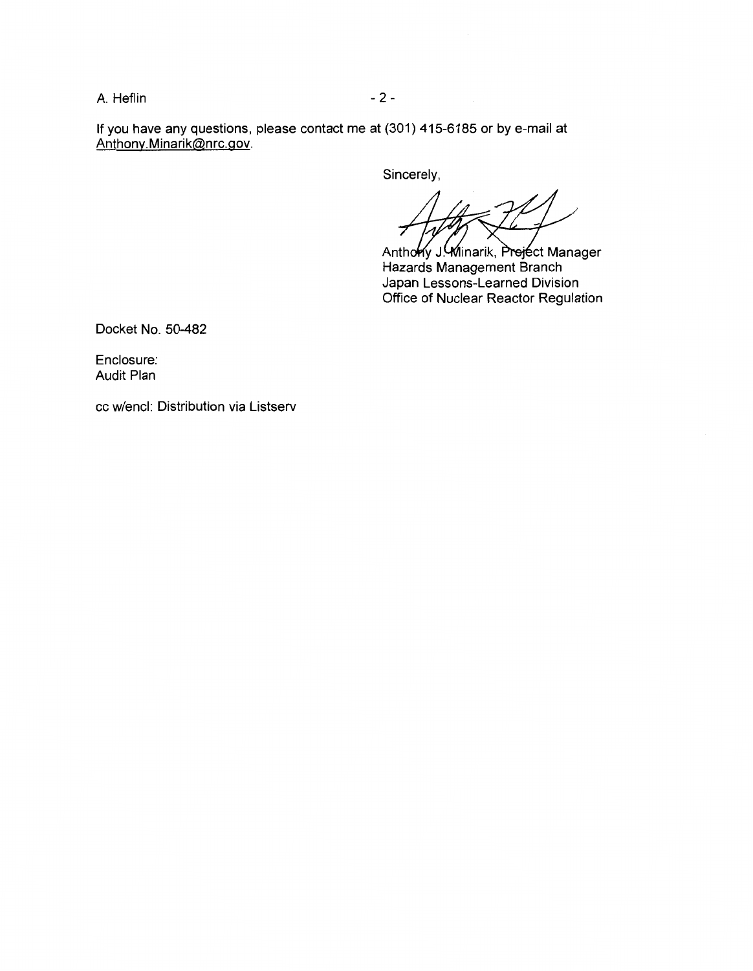A. Heflin - 2 -

If you have any questions, please contact me at (301) 415-6185 or by e-mail at Anthony.Minarik@nrc.gov.

Sincerely,

Anthony J. Winarik, Preject Manager Hazards Management Branch Japan Lessons-Learned Division Office of Nuclear Reactor Regulation

Docket No. 50-482

Enclosure: Audit Plan

cc w/encl: Distribution via Listserv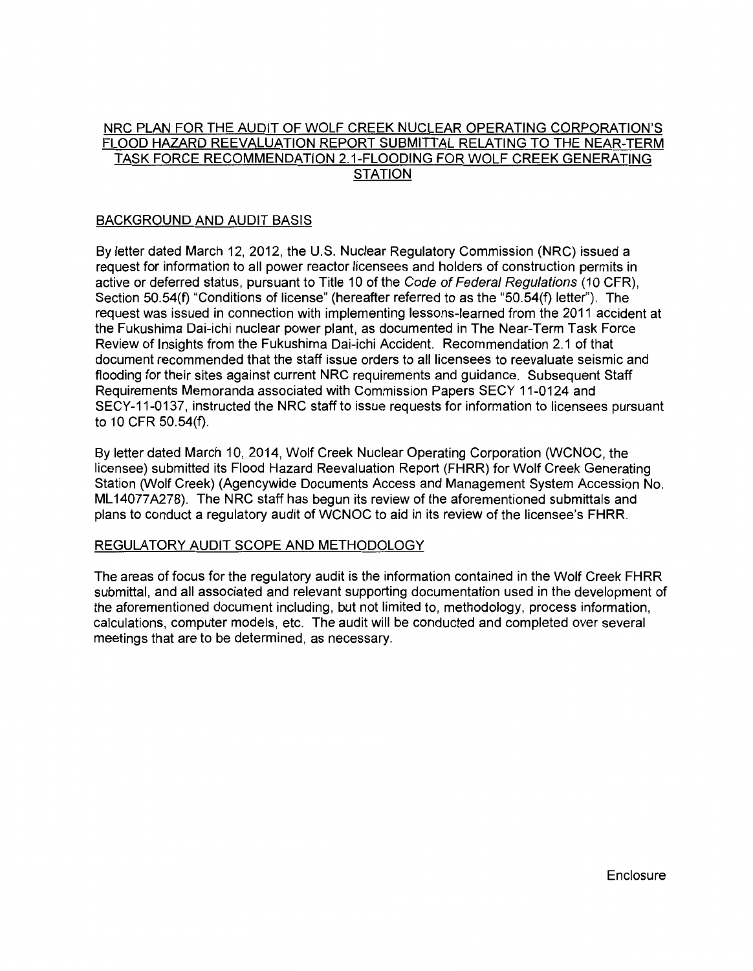# NRC PLAN FOR THE AUDIT OF WOLF CREEK NUCLEAR OPERATING CORPORATION'S FLOOD HAZARD REEVALUATION REPORT SUBMITTAL RELATING TO THE NEAR-TERM TASK FORCE RECOMMENDATION 2.1-FLOODING FOR WOLF CREEK GENERATING **STATION**

# BACKGROUND AND AUDIT BASIS

By letter dated March 12, 2012, the U.S. Nuclear Regulatory Commission (NRC) issued a request for information to all power reactor licensees and holders of construction permits in active or deferred status, pursuant to Title 10 of the Code of Federal Regulations (10 CFR). Section 50.54(f) "Conditions of license" (hereafter referred to as the "50.54(f) letter''). The request was issued in connection with implementing lessons-learned from the 2011 accident at the Fukushima Dai-ichi nuclear power plant, as documented in The Near-Term Task Force Review of Insights from the Fukushima Dai-ichi Accident. Recommendation 2.1 of that document recommended that the staff issue orders to all licensees to reevaluate seismic and flooding for their sites against current NRC requirements and guidance. Subsequent Staff Requirements Memoranda associated with Commission Papers SECY 11-0124 and SECY-11-0137, instructed the NRC staff to issue requests for information to licensees pursuant to 10 CFR 50.54(f).

By letter dated March 10, 2014, Wolf Creek Nuclear Operating Corporation (WCNOC, the licensee) submitted its Flood Hazard Reevaluation Report (FHRR) for Wolf Creek Generating Station (Wolf Creek) (Agencywide Documents Access and Management System Accession No. ML 14077 A278). The NRC staff has begun its review of the aforementioned submittals and plans to conduct a regulatory audit of WCNOC to aid in its review of the licensee's FHRR.

# REGULATORY AUDIT SCOPE AND METHODOLOGY

The areas of focus for the regulatory audit is the information contained in the Wolf Creek FHRR submittal, and all associated and relevant supporting documentation used in the development of the aforementioned document including, but not limited to, methodology, process information, calculations, computer models, etc. The audit will be conducted and completed over several meetings that are to be determined, as necessary.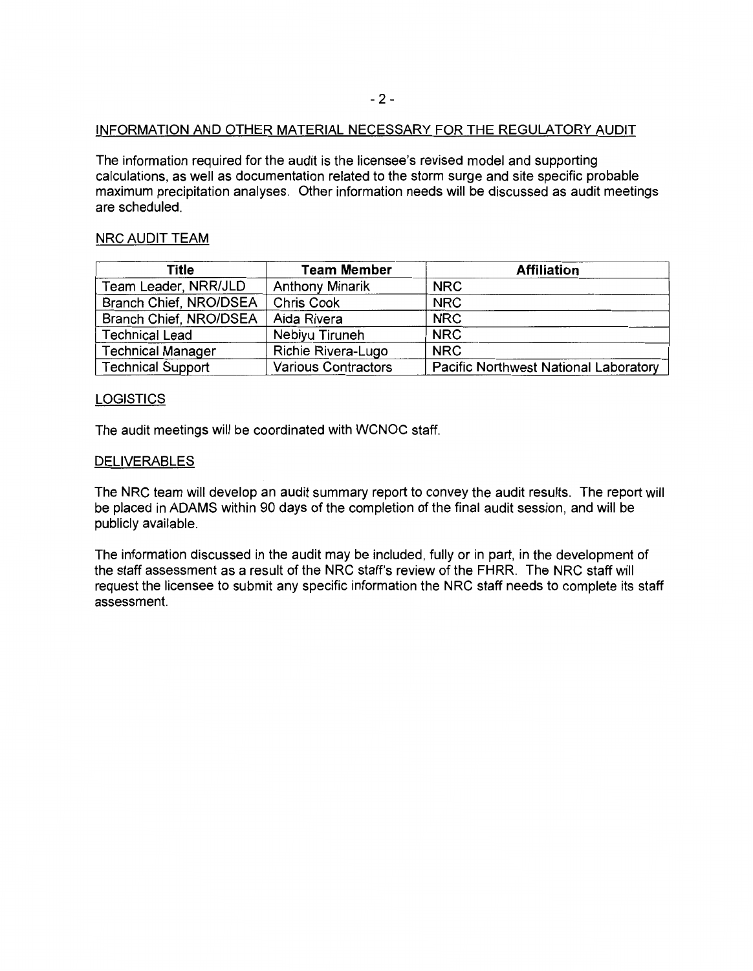## INFORMATION AND OTHER MATERIAL NECESSARY FOR THE REGULATORY AUDIT

The information required for the audit is the licensee's revised model and supporting calculations, as well as documentation related to the storm surge and site specific probable maximum precipitation analyses. Other information needs will be discussed as audit meetings are scheduled.

## NRC AUDIT TEAM

| Title                    | <b>Team Member</b>     | <b>Affiliation</b>                           |  |
|--------------------------|------------------------|----------------------------------------------|--|
| Team Leader, NRR/JLD     | <b>Anthony Minarik</b> | <b>NRC</b>                                   |  |
| Branch Chief, NRO/DSEA   | <b>Chris Cook</b>      | <b>NRC</b>                                   |  |
| Branch Chief, NRO/DSEA   | Aida Rivera            | <b>NRC</b>                                   |  |
| <b>Technical Lead</b>    | Nebiyu Tiruneh         | <b>NRC</b>                                   |  |
| <b>Technical Manager</b> | Richie Rivera-Lugo     | <b>NRC</b>                                   |  |
| <b>Technical Support</b> | Various Contractors    | <b>Pacific Northwest National Laboratory</b> |  |

#### **LOGISTICS**

The audit meetings will be coordinated with WCNOC staff.

#### DELIVERABLES

The NRC team will develop an audit summary report to convey the audit results. The report will be placed in ADAMS within 90 days of the completion of the final audit session, and will be publicly available.

The information discussed in the audit may be included, fully or in part, in the development of the staff assessment as a result of the NRC staff's review of the FHRR. The NRC staff will request the licensee to submit any specific information the NRC staff needs to complete its staff assessment.